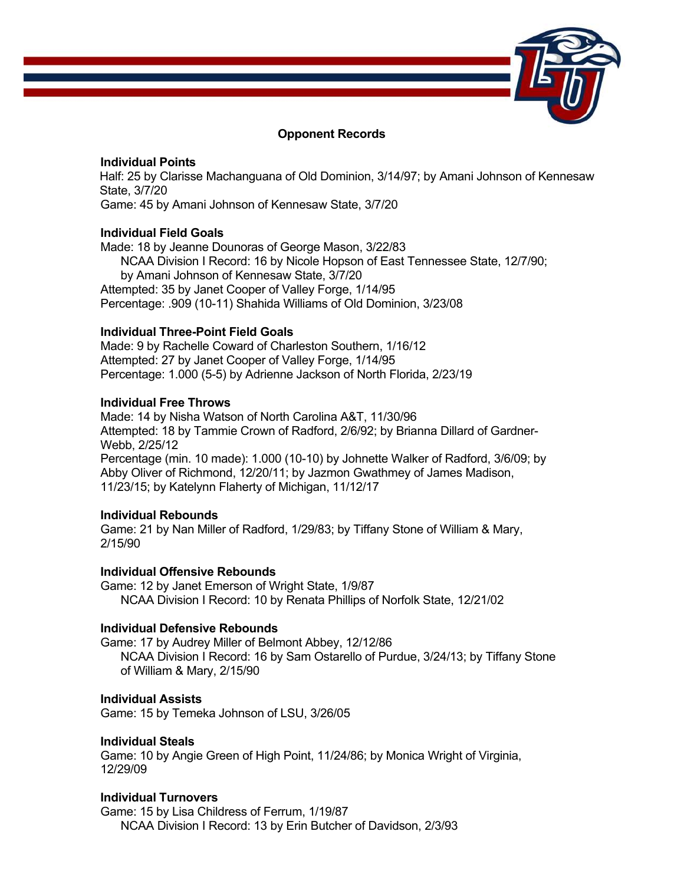

### **Opponent Records**

### **Individual Points**

 Half: 25 by Clarisse Machanguana of Old Dominion, 3/14/97; by Amani Johnson of Kennesaw State, 3/7/20

Game: 45 by Amani Johnson of Kennesaw State, 3/7/20

## **Individual Field Goals**

Made: 18 by Jeanne Dounoras of George Mason, 3/22/83 NCAA Division I Record: 16 by Nicole Hopson of East Tennessee State, 12/7/90; by Amani Johnson of Kennesaw State, 3/7/20 Attempted: 35 by Janet Cooper of Valley Forge, 1/14/95 Percentage: .909 (10-11) Shahida Williams of Old Dominion, 3/23/08

## **Individual Three-Point Field Goals**

Made: 9 by Rachelle Coward of Charleston Southern, 1/16/12 Attempted: 27 by Janet Cooper of Valley Forge, 1/14/95 Percentage: 1.000 (5-5) by Adrienne Jackson of North Florida, 2/23/19

## **Individual Free Throws**

Made: 14 by Nisha Watson of North Carolina A&T, 11/30/96 Attempted: 18 by Tammie Crown of Radford, 2/6/92; by Brianna Dillard of Gardner-Webb, 2/25/12 Percentage (min. 10 made): 1.000 (10-10) by Johnette Walker of Radford, 3/6/09; by Abby Oliver of Richmond, 12/20/11; by Jazmon Gwathmey of James Madison, 11/23/15; by Katelynn Flaherty of Michigan, 11/12/17

### **Individual Rebounds**

Game: 21 by Nan Miller of Radford, 1/29/83; by Tiffany Stone of William & Mary, 2/15/90

**Individual Offensive Rebounds**  Game: 12 by Janet Emerson of Wright State, 1/9/87 NCAA Division I Record: 10 by Renata Phillips of Norfolk State, 12/21/02

# **Individual Defensive Rebounds**

Game: 17 by Audrey Miller of Belmont Abbey, 12/12/86 NCAA Division I Record: 16 by Sam Ostarello of Purdue, 3/24/13; by Tiffany Stone of William & Mary, 2/15/90

### **Individual Assists**

Game: 15 by Temeka Johnson of LSU, 3/26/05

### **Individual Steals**

Game: 10 by Angie Green of High Point, 11/24/86; by Monica Wright of Virginia, 12/29/09

### **Individual Turnovers**

Game: 15 by Lisa Childress of Ferrum, 1/19/87 NCAA Division I Record: 13 by Erin Butcher of Davidson, 2/3/93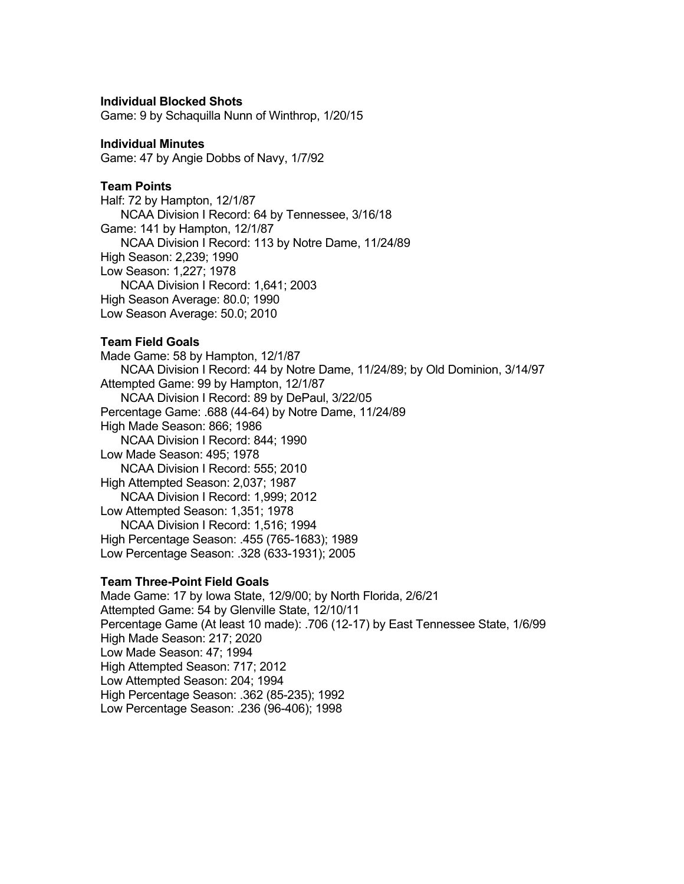### **Individual Blocked Shots**

Game: 9 by Schaquilla Nunn of Winthrop, 1/20/15

#### **Individual Minutes**

Game: 47 by Angie Dobbs of Navy, 1/7/92

### **Team Points**

Half: 72 by Hampton, 12/1/87 NCAA Division I Record: 64 by Tennessee, 3/16/18 Game: 141 by Hampton, 12/1/87 NCAA Division I Record: 113 by Notre Dame, 11/24/89 High Season: 2,239; 1990 Low Season: 1,227; 1978 NCAA Division I Record: 1,641; 2003 High Season Average: 80.0; 1990 Low Season Average: 50.0; 2010

### **Team Field Goals**

Made Game: 58 by Hampton, 12/1/87 NCAA Division I Record: 44 by Notre Dame, 11/24/89; by Old Dominion, 3/14/97 Attempted Game: 99 by Hampton, 12/1/87 NCAA Division I Record: 89 by DePaul, 3/22/05 Percentage Game: .688 (44-64) by Notre Dame, 11/24/89 High Made Season: 866; 1986 NCAA Division I Record: 844; 1990 Low Made Season: 495; 1978 NCAA Division I Record: 555; 2010 High Attempted Season: 2,037; 1987 NCAA Division I Record: 1,999; 2012 Low Attempted Season: 1,351; 1978 NCAA Division I Record: 1,516; 1994 High Percentage Season: .455 (765-1683); 1989 Low Percentage Season: .328 (633-1931); 2005

### **Team Three-Point Field Goals**

Made Game: 17 by Iowa State, 12/9/00; by North Florida, 2/6/21 Attempted Game: 54 by Glenville State, 12/10/11 Percentage Game (At least 10 made): .706 (12-17) by East Tennessee State, 1/6/99 High Made Season: 217; 2020 Low Made Season: 47; 1994 High Attempted Season: 717; 2012 Low Attempted Season: 204; 1994 High Percentage Season: .362 (85-235); 1992 Low Percentage Season: .236 (96-406); 1998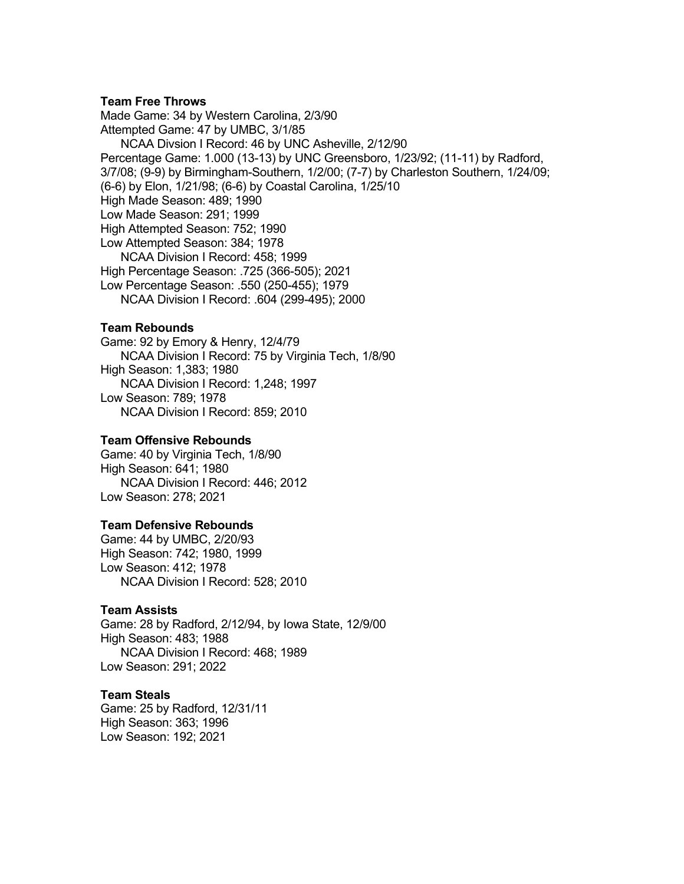#### **Team Free Throws**

Made Game: 34 by Western Carolina, 2/3/90 Attempted Game: 47 by UMBC, 3/1/85 NCAA Divsion I Record: 46 by UNC Asheville, 2/12/90 Percentage Game: 1.000 (13-13) by UNC Greensboro, 1/23/92; (11-11) by Radford, 3/7/08; (9-9) by Birmingham-Southern, 1/2/00; (7-7) by Charleston Southern, 1/24/09; (6-6) by Elon, 1/21/98; (6-6) by Coastal Carolina, 1/25/10 High Made Season: 489; 1990 Low Made Season: 291; 1999 High Attempted Season: 752; 1990 Low Attempted Season: 384; 1978 NCAA Division I Record: 458; 1999 High Percentage Season: .725 (366-505); 2021 Low Percentage Season: .550 (250-455); 1979 NCAA Division I Record: .604 (299-495); 2000

### **Team Rebounds**

Game: 92 by Emory & Henry, 12/4/79 NCAA Division I Record: 75 by Virginia Tech, 1/8/90 High Season: 1,383; 1980 NCAA Division I Record: 1,248; 1997 Low Season: 789; 1978 NCAA Division I Record: 859; 2010

#### **Team Offensive Rebounds**

Game: 40 by Virginia Tech, 1/8/90 High Season: 641; 1980 NCAA Division I Record: 446; 2012 Low Season: 278; 2021

### **Team Defensive Rebounds**

Game: 44 by UMBC, 2/20/93 High Season: 742; 1980, 1999 Low Season: 412; 1978 NCAA Division I Record: 528; 2010

#### **Team Assists**

Game: 28 by Radford, 2/12/94, by Iowa State, 12/9/00 High Season: 483; 1988 NCAA Division I Record: 468; 1989 Low Season: 291; 2022

## **Team Steals**

Game: 25 by Radford, 12/31/11 High Season: 363; 1996 Low Season: 192; 2021